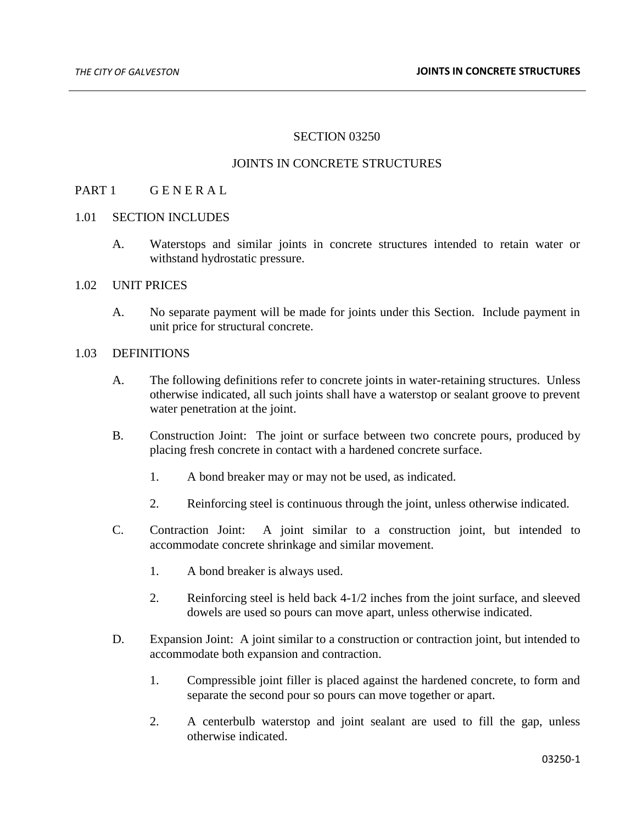## SECTION 03250

#### JOINTS IN CONCRETE STRUCTURES

### PART 1 GENERAL

#### 1.01 SECTION INCLUDES

A. Waterstops and similar joints in concrete structures intended to retain water or withstand hydrostatic pressure.

### 1.02 UNIT PRICES

A. No separate payment will be made for joints under this Section. Include payment in unit price for structural concrete.

#### 1.03 DEFINITIONS

- A. The following definitions refer to concrete joints in water-retaining structures. Unless otherwise indicated, all such joints shall have a waterstop or sealant groove to prevent water penetration at the joint.
- B. Construction Joint: The joint or surface between two concrete pours, produced by placing fresh concrete in contact with a hardened concrete surface.
	- 1. A bond breaker may or may not be used, as indicated.
	- 2. Reinforcing steel is continuous through the joint, unless otherwise indicated.
- C. Contraction Joint: A joint similar to a construction joint, but intended to accommodate concrete shrinkage and similar movement.
	- 1. A bond breaker is always used.
	- 2. Reinforcing steel is held back 4-1/2 inches from the joint surface, and sleeved dowels are used so pours can move apart, unless otherwise indicated.
- D. Expansion Joint: A joint similar to a construction or contraction joint, but intended to accommodate both expansion and contraction.
	- 1. Compressible joint filler is placed against the hardened concrete, to form and separate the second pour so pours can move together or apart.
	- 2. A centerbulb waterstop and joint sealant are used to fill the gap, unless otherwise indicated.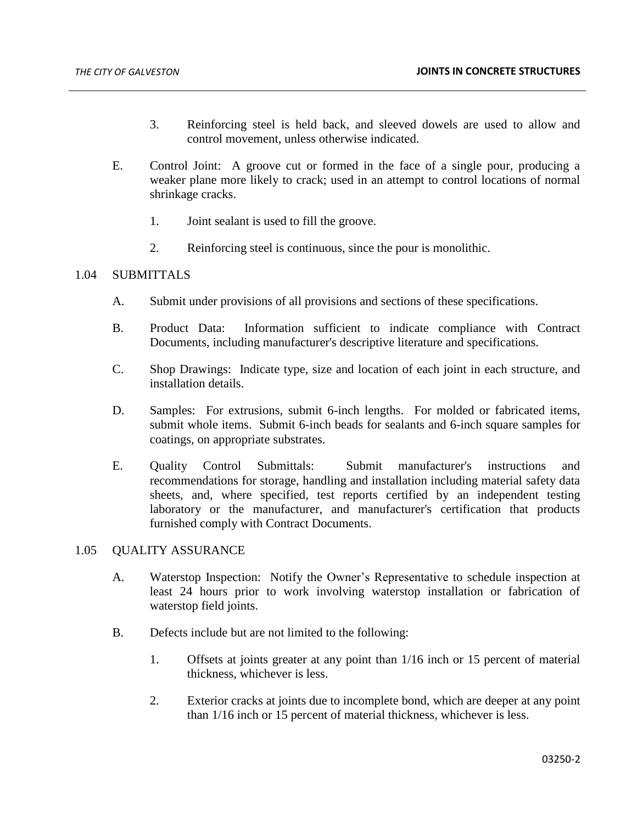- 3. Reinforcing steel is held back, and sleeved dowels are used to allow and control movement, unless otherwise indicated.
- E. Control Joint: A groove cut or formed in the face of a single pour, producing a weaker plane more likely to crack; used in an attempt to control locations of normal shrinkage cracks.
	- 1. Joint sealant is used to fill the groove.
	- 2. Reinforcing steel is continuous, since the pour is monolithic.

# 1.04 SUBMITTALS

- A. Submit under provisions of all provisions and sections of these specifications.
- B. Product Data: Information sufficient to indicate compliance with Contract Documents, including manufacturer's descriptive literature and specifications.
- C. Shop Drawings: Indicate type, size and location of each joint in each structure, and installation details.
- D. Samples: For extrusions, submit 6-inch lengths. For molded or fabricated items, submit whole items. Submit 6-inch beads for sealants and 6-inch square samples for coatings, on appropriate substrates.
- E. Quality Control Submittals: Submit manufacturer's instructions and recommendations for storage, handling and installation including material safety data sheets, and, where specified, test reports certified by an independent testing laboratory or the manufacturer, and manufacturer's certification that products furnished comply with Contract Documents.

### 1.05 QUALITY ASSURANCE

- A. Waterstop Inspection: Notify the Owner's Representative to schedule inspection at least 24 hours prior to work involving waterstop installation or fabrication of waterstop field joints.
- B. Defects include but are not limited to the following:
	- 1. Offsets at joints greater at any point than 1/16 inch or 15 percent of material thickness, whichever is less.
	- 2. Exterior cracks at joints due to incomplete bond, which are deeper at any point than 1/16 inch or 15 percent of material thickness, whichever is less.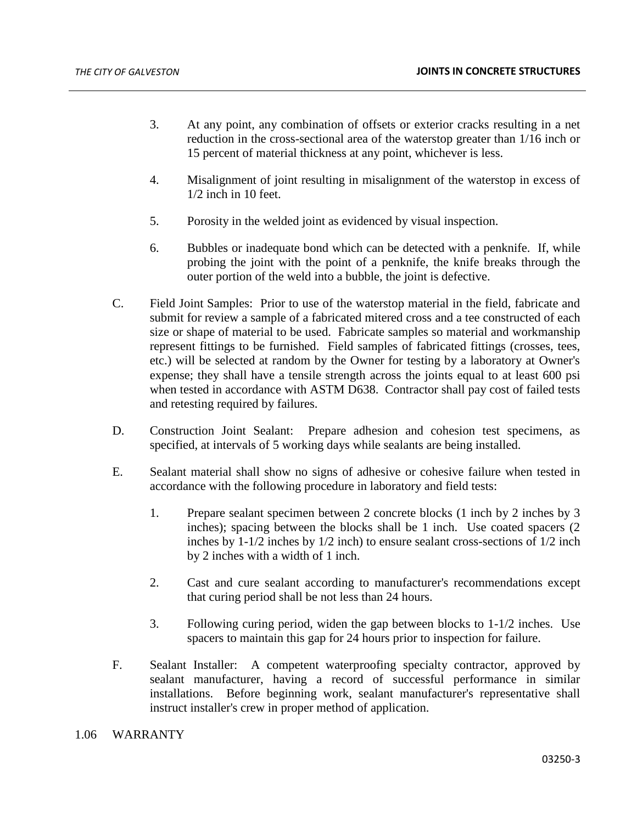- 3. At any point, any combination of offsets or exterior cracks resulting in a net reduction in the cross-sectional area of the waterstop greater than 1/16 inch or 15 percent of material thickness at any point, whichever is less.
- 4. Misalignment of joint resulting in misalignment of the waterstop in excess of 1/2 inch in 10 feet.
- 5. Porosity in the welded joint as evidenced by visual inspection.
- 6. Bubbles or inadequate bond which can be detected with a penknife. If, while probing the joint with the point of a penknife, the knife breaks through the outer portion of the weld into a bubble, the joint is defective.
- C. Field Joint Samples: Prior to use of the waterstop material in the field, fabricate and submit for review a sample of a fabricated mitered cross and a tee constructed of each size or shape of material to be used. Fabricate samples so material and workmanship represent fittings to be furnished. Field samples of fabricated fittings (crosses, tees, etc.) will be selected at random by the Owner for testing by a laboratory at Owner's expense; they shall have a tensile strength across the joints equal to at least 600 psi when tested in accordance with ASTM D638. Contractor shall pay cost of failed tests and retesting required by failures.
- D. Construction Joint Sealant: Prepare adhesion and cohesion test specimens, as specified, at intervals of 5 working days while sealants are being installed.
- E. Sealant material shall show no signs of adhesive or cohesive failure when tested in accordance with the following procedure in laboratory and field tests:
	- 1. Prepare sealant specimen between 2 concrete blocks (1 inch by 2 inches by 3 inches); spacing between the blocks shall be 1 inch. Use coated spacers (2 inches by 1-1/2 inches by 1/2 inch) to ensure sealant cross-sections of 1/2 inch by 2 inches with a width of 1 inch.
	- 2. Cast and cure sealant according to manufacturer's recommendations except that curing period shall be not less than 24 hours.
	- 3. Following curing period, widen the gap between blocks to 1-1/2 inches. Use spacers to maintain this gap for 24 hours prior to inspection for failure.
- F. Sealant Installer: A competent waterproofing specialty contractor, approved by sealant manufacturer, having a record of successful performance in similar installations. Before beginning work, sealant manufacturer's representative shall instruct installer's crew in proper method of application.

# 1.06 WARRANTY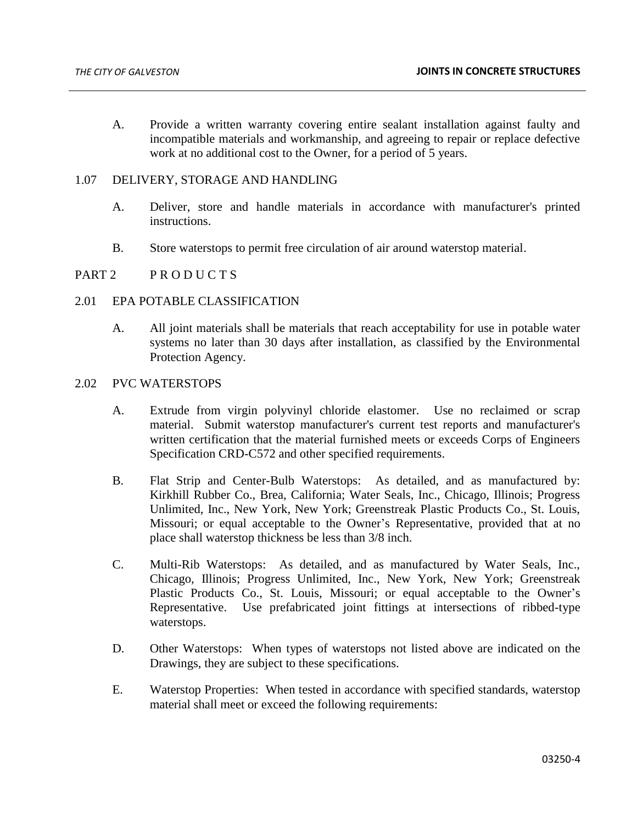A. Provide a written warranty covering entire sealant installation against faulty and incompatible materials and workmanship, and agreeing to repair or replace defective work at no additional cost to the Owner, for a period of 5 years.

### 1.07 DELIVERY, STORAGE AND HANDLING

- A. Deliver, store and handle materials in accordance with manufacturer's printed instructions.
- B. Store waterstops to permit free circulation of air around waterstop material.

## PART 2 PRODUCTS

### 2.01 EPA POTABLE CLASSIFICATION

A. All joint materials shall be materials that reach acceptability for use in potable water systems no later than 30 days after installation, as classified by the Environmental Protection Agency.

# 2.02 PVC WATERSTOPS

- A. Extrude from virgin polyvinyl chloride elastomer. Use no reclaimed or scrap material. Submit waterstop manufacturer's current test reports and manufacturer's written certification that the material furnished meets or exceeds Corps of Engineers Specification CRD-C572 and other specified requirements.
- B. Flat Strip and Center-Bulb Waterstops: As detailed, and as manufactured by: Kirkhill Rubber Co., Brea, California; Water Seals, Inc., Chicago, Illinois; Progress Unlimited, Inc., New York, New York; Greenstreak Plastic Products Co., St. Louis, Missouri; or equal acceptable to the Owner's Representative, provided that at no place shall waterstop thickness be less than 3/8 inch.
- C. Multi-Rib Waterstops: As detailed, and as manufactured by Water Seals, Inc., Chicago, Illinois; Progress Unlimited, Inc., New York, New York; Greenstreak Plastic Products Co., St. Louis, Missouri; or equal acceptable to the Owner's Representative. Use prefabricated joint fittings at intersections of ribbed-type waterstops.
- D. Other Waterstops: When types of waterstops not listed above are indicated on the Drawings, they are subject to these specifications.
- E. Waterstop Properties: When tested in accordance with specified standards, waterstop material shall meet or exceed the following requirements: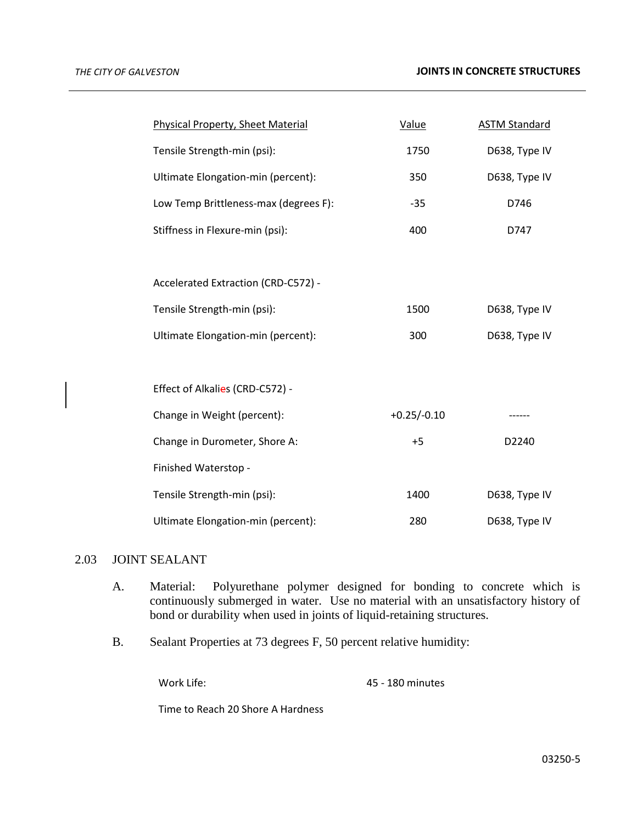| <b>Physical Property, Sheet Material</b> | Value         | <b>ASTM Standard</b> |
|------------------------------------------|---------------|----------------------|
| Tensile Strength-min (psi):              | 1750          | D638, Type IV        |
| Ultimate Elongation-min (percent):       | 350           | D638, Type IV        |
| Low Temp Brittleness-max (degrees F):    | $-35$         | D746                 |
| Stiffness in Flexure-min (psi):          | 400           | D747                 |
|                                          |               |                      |
| Accelerated Extraction (CRD-C572) -      |               |                      |
| Tensile Strength-min (psi):              | 1500          | D638, Type IV        |
| Ultimate Elongation-min (percent):       | 300           | D638, Type IV        |
|                                          |               |                      |
| Effect of Alkalies (CRD-C572) -          |               |                      |
| Change in Weight (percent):              | $+0.25/-0.10$ | ------               |
| Change in Durometer, Shore A:            | $+5$          | D2240                |
| Finished Waterstop -                     |               |                      |
| Tensile Strength-min (psi):              | 1400          | D638, Type IV        |
| Ultimate Elongation-min (percent):       | 280           | D638, Type IV        |

# 2.03 JOINT SEALANT

- A. Material: Polyurethane polymer designed for bonding to concrete which is continuously submerged in water. Use no material with an unsatisfactory history of bond or durability when used in joints of liquid-retaining structures.
- B. Sealant Properties at 73 degrees F, 50 percent relative humidity:

Work Life: 45 - 180 minutes

Time to Reach 20 Shore A Hardness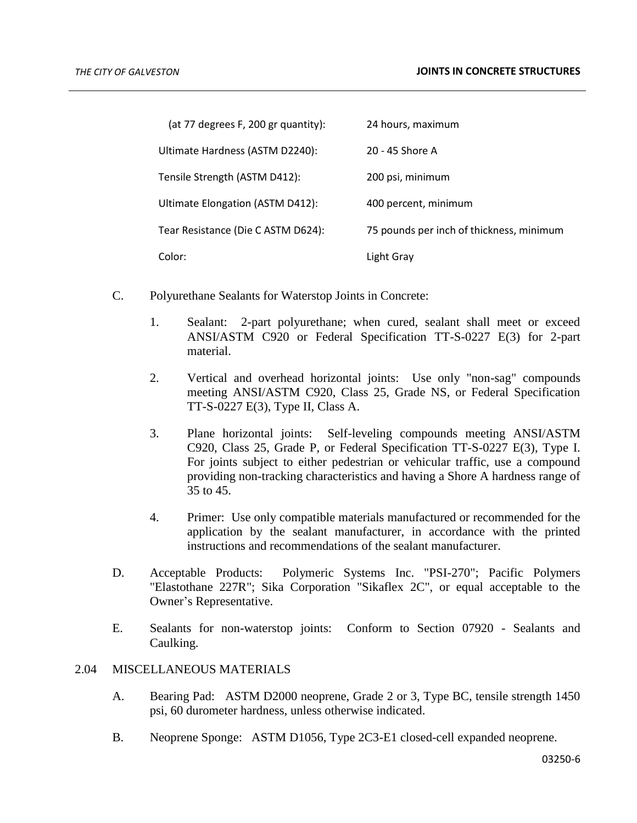| (at 77 degrees F, 200 gr quantity): | 24 hours, maximum                        |
|-------------------------------------|------------------------------------------|
| Ultimate Hardness (ASTM D2240):     | 20 - 45 Shore A                          |
| Tensile Strength (ASTM D412):       | 200 psi, minimum                         |
| Ultimate Elongation (ASTM D412):    | 400 percent, minimum                     |
| Tear Resistance (Die C ASTM D624):  | 75 pounds per inch of thickness, minimum |
| Color:                              | Light Gray                               |

- C. Polyurethane Sealants for Waterstop Joints in Concrete:
	- 1. Sealant: 2-part polyurethane; when cured, sealant shall meet or exceed ANSI/ASTM C920 or Federal Specification TT-S-0227 E(3) for 2-part material.
	- 2. Vertical and overhead horizontal joints: Use only "non-sag" compounds meeting ANSI/ASTM C920, Class 25, Grade NS, or Federal Specification TT-S-0227 E(3), Type II, Class A.
	- 3. Plane horizontal joints: Self-leveling compounds meeting ANSI/ASTM C920, Class 25, Grade P, or Federal Specification TT-S-0227 E(3), Type I. For joints subject to either pedestrian or vehicular traffic, use a compound providing non-tracking characteristics and having a Shore A hardness range of 35 to 45.
	- 4. Primer: Use only compatible materials manufactured or recommended for the application by the sealant manufacturer, in accordance with the printed instructions and recommendations of the sealant manufacturer.
- D. Acceptable Products: Polymeric Systems Inc. "PSI-270"; Pacific Polymers "Elastothane 227R"; Sika Corporation "Sikaflex 2C", or equal acceptable to the Owner's Representative.
- E. Sealants for non-waterstop joints: Conform to Section 07920 Sealants and Caulking.

# 2.04 MISCELLANEOUS MATERIALS

- A. Bearing Pad: ASTM D2000 neoprene, Grade 2 or 3, Type BC, tensile strength 1450 psi, 60 durometer hardness, unless otherwise indicated.
- B. Neoprene Sponge: ASTM D1056, Type 2C3-E1 closed-cell expanded neoprene.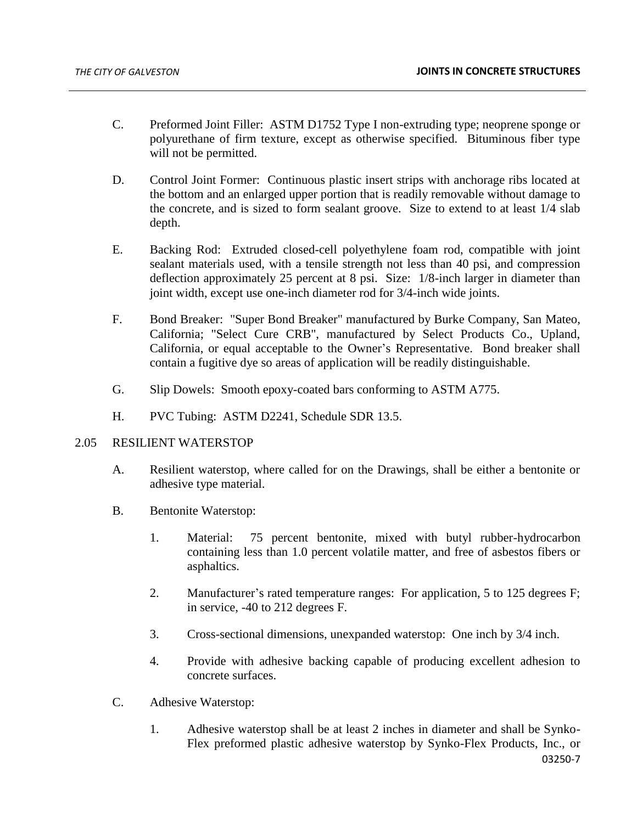- C. Preformed Joint Filler: ASTM D1752 Type I non-extruding type; neoprene sponge or polyurethane of firm texture, except as otherwise specified. Bituminous fiber type will not be permitted.
- D. Control Joint Former: Continuous plastic insert strips with anchorage ribs located at the bottom and an enlarged upper portion that is readily removable without damage to the concrete, and is sized to form sealant groove. Size to extend to at least 1/4 slab depth.
- E. Backing Rod: Extruded closed-cell polyethylene foam rod, compatible with joint sealant materials used, with a tensile strength not less than 40 psi, and compression deflection approximately 25 percent at 8 psi. Size: 1/8-inch larger in diameter than joint width, except use one-inch diameter rod for 3/4-inch wide joints.
- F. Bond Breaker: "Super Bond Breaker" manufactured by Burke Company, San Mateo, California; "Select Cure CRB", manufactured by Select Products Co., Upland, California, or equal acceptable to the Owner's Representative. Bond breaker shall contain a fugitive dye so areas of application will be readily distinguishable.
- G. Slip Dowels: Smooth epoxy-coated bars conforming to ASTM A775.
- H. PVC Tubing: ASTM D2241, Schedule SDR 13.5.

# 2.05 RESILIENT WATERSTOP

- A. Resilient waterstop, where called for on the Drawings, shall be either a bentonite or adhesive type material.
- B. Bentonite Waterstop:
	- 1. Material: 75 percent bentonite, mixed with butyl rubber-hydrocarbon containing less than 1.0 percent volatile matter, and free of asbestos fibers or asphaltics.
	- 2. Manufacturer's rated temperature ranges: For application, 5 to 125 degrees F; in service, -40 to 212 degrees F.
	- 3. Cross-sectional dimensions, unexpanded waterstop: One inch by 3/4 inch.
	- 4. Provide with adhesive backing capable of producing excellent adhesion to concrete surfaces.
- C. Adhesive Waterstop:
	- 03250-7 1. Adhesive waterstop shall be at least 2 inches in diameter and shall be Synko-Flex preformed plastic adhesive waterstop by Synko-Flex Products, Inc., or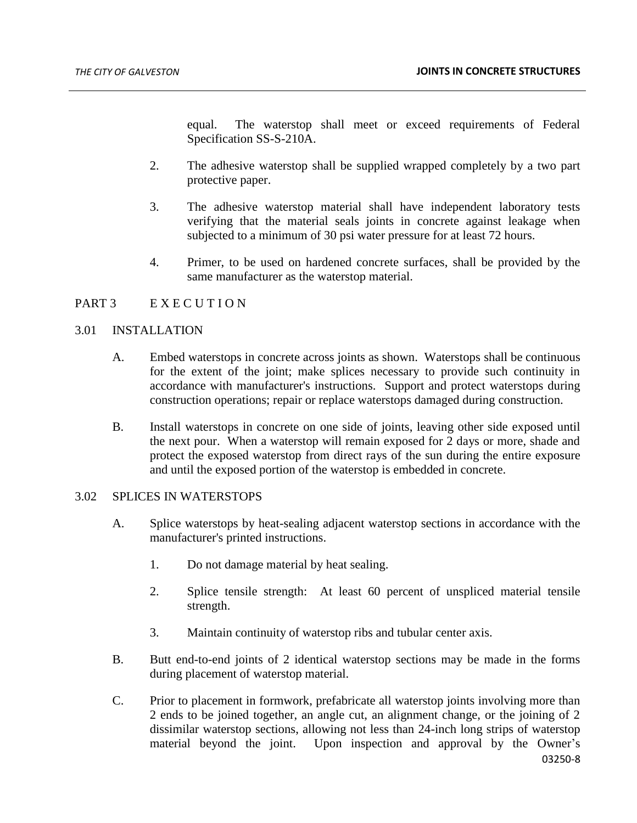equal. The waterstop shall meet or exceed requirements of Federal Specification SS-S-210A.

- 2. The adhesive waterstop shall be supplied wrapped completely by a two part protective paper.
- 3. The adhesive waterstop material shall have independent laboratory tests verifying that the material seals joints in concrete against leakage when subjected to a minimum of 30 psi water pressure for at least 72 hours.
- 4. Primer, to be used on hardened concrete surfaces, shall be provided by the same manufacturer as the waterstop material.

# PART 3 E X E C U T I O N

## 3.01 INSTALLATION

- A. Embed waterstops in concrete across joints as shown. Waterstops shall be continuous for the extent of the joint; make splices necessary to provide such continuity in accordance with manufacturer's instructions. Support and protect waterstops during construction operations; repair or replace waterstops damaged during construction.
- B. Install waterstops in concrete on one side of joints, leaving other side exposed until the next pour. When a waterstop will remain exposed for 2 days or more, shade and protect the exposed waterstop from direct rays of the sun during the entire exposure and until the exposed portion of the waterstop is embedded in concrete.

## 3.02 SPLICES IN WATERSTOPS

- A. Splice waterstops by heat-sealing adjacent waterstop sections in accordance with the manufacturer's printed instructions.
	- 1. Do not damage material by heat sealing.
	- 2. Splice tensile strength: At least 60 percent of unspliced material tensile strength.
	- 3. Maintain continuity of waterstop ribs and tubular center axis.
- B. Butt end-to-end joints of 2 identical waterstop sections may be made in the forms during placement of waterstop material.
- C. Prior to placement in formwork, prefabricate all waterstop joints involving more than 2 ends to be joined together, an angle cut, an alignment change, or the joining of 2 dissimilar waterstop sections, allowing not less than 24-inch long strips of waterstop material beyond the joint. Upon inspection and approval by the Owner's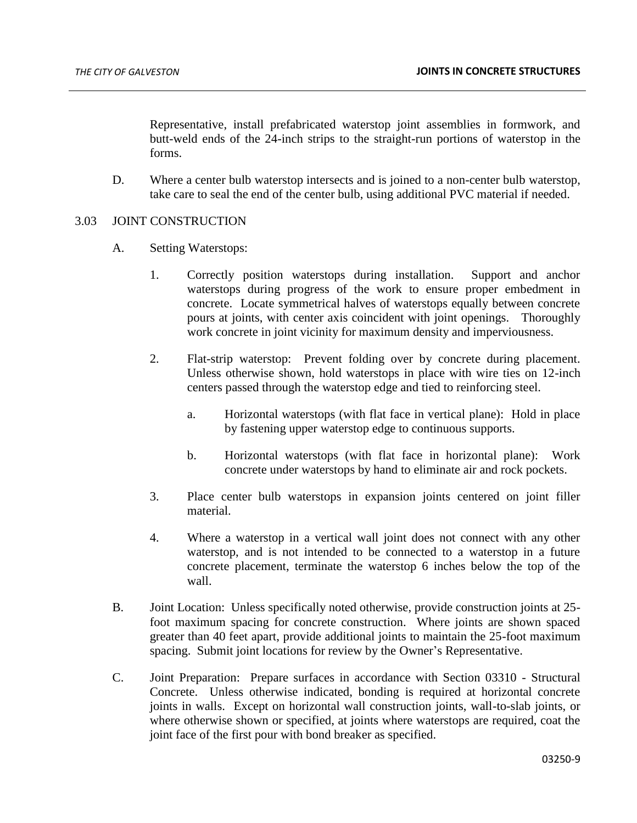Representative, install prefabricated waterstop joint assemblies in formwork, and butt-weld ends of the 24-inch strips to the straight-run portions of waterstop in the forms.

D. Where a center bulb waterstop intersects and is joined to a non-center bulb waterstop, take care to seal the end of the center bulb, using additional PVC material if needed.

### 3.03 JOINT CONSTRUCTION

- A. Setting Waterstops:
	- 1. Correctly position waterstops during installation. Support and anchor waterstops during progress of the work to ensure proper embedment in concrete. Locate symmetrical halves of waterstops equally between concrete pours at joints, with center axis coincident with joint openings. Thoroughly work concrete in joint vicinity for maximum density and imperviousness.
	- 2. Flat-strip waterstop: Prevent folding over by concrete during placement. Unless otherwise shown, hold waterstops in place with wire ties on 12-inch centers passed through the waterstop edge and tied to reinforcing steel.
		- a. Horizontal waterstops (with flat face in vertical plane): Hold in place by fastening upper waterstop edge to continuous supports.
		- b. Horizontal waterstops (with flat face in horizontal plane): Work concrete under waterstops by hand to eliminate air and rock pockets.
	- 3. Place center bulb waterstops in expansion joints centered on joint filler material.
	- 4. Where a waterstop in a vertical wall joint does not connect with any other waterstop, and is not intended to be connected to a waterstop in a future concrete placement, terminate the waterstop 6 inches below the top of the wall.
- B. Joint Location: Unless specifically noted otherwise, provide construction joints at 25 foot maximum spacing for concrete construction. Where joints are shown spaced greater than 40 feet apart, provide additional joints to maintain the 25-foot maximum spacing. Submit joint locations for review by the Owner's Representative.
- C. Joint Preparation: Prepare surfaces in accordance with Section 03310 Structural Concrete. Unless otherwise indicated, bonding is required at horizontal concrete joints in walls. Except on horizontal wall construction joints, wall-to-slab joints, or where otherwise shown or specified, at joints where waterstops are required, coat the joint face of the first pour with bond breaker as specified.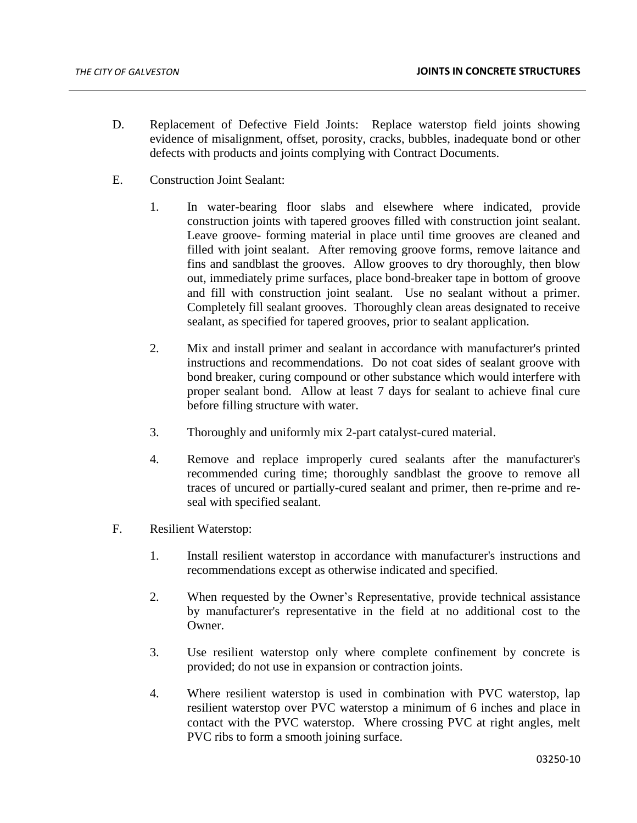- D. Replacement of Defective Field Joints: Replace waterstop field joints showing evidence of misalignment, offset, porosity, cracks, bubbles, inadequate bond or other defects with products and joints complying with Contract Documents.
- E. Construction Joint Sealant:
	- 1. In water-bearing floor slabs and elsewhere where indicated, provide construction joints with tapered grooves filled with construction joint sealant. Leave groove- forming material in place until time grooves are cleaned and filled with joint sealant. After removing groove forms, remove laitance and fins and sandblast the grooves. Allow grooves to dry thoroughly, then blow out, immediately prime surfaces, place bond-breaker tape in bottom of groove and fill with construction joint sealant. Use no sealant without a primer. Completely fill sealant grooves. Thoroughly clean areas designated to receive sealant, as specified for tapered grooves, prior to sealant application.
	- 2. Mix and install primer and sealant in accordance with manufacturer's printed instructions and recommendations. Do not coat sides of sealant groove with bond breaker, curing compound or other substance which would interfere with proper sealant bond. Allow at least 7 days for sealant to achieve final cure before filling structure with water.
	- 3. Thoroughly and uniformly mix 2-part catalyst-cured material.
	- 4. Remove and replace improperly cured sealants after the manufacturer's recommended curing time; thoroughly sandblast the groove to remove all traces of uncured or partially-cured sealant and primer, then re-prime and reseal with specified sealant.
- F. Resilient Waterstop:
	- 1. Install resilient waterstop in accordance with manufacturer's instructions and recommendations except as otherwise indicated and specified.
	- 2. When requested by the Owner's Representative, provide technical assistance by manufacturer's representative in the field at no additional cost to the Owner.
	- 3. Use resilient waterstop only where complete confinement by concrete is provided; do not use in expansion or contraction joints.
	- 4. Where resilient waterstop is used in combination with PVC waterstop, lap resilient waterstop over PVC waterstop a minimum of 6 inches and place in contact with the PVC waterstop. Where crossing PVC at right angles, melt PVC ribs to form a smooth joining surface.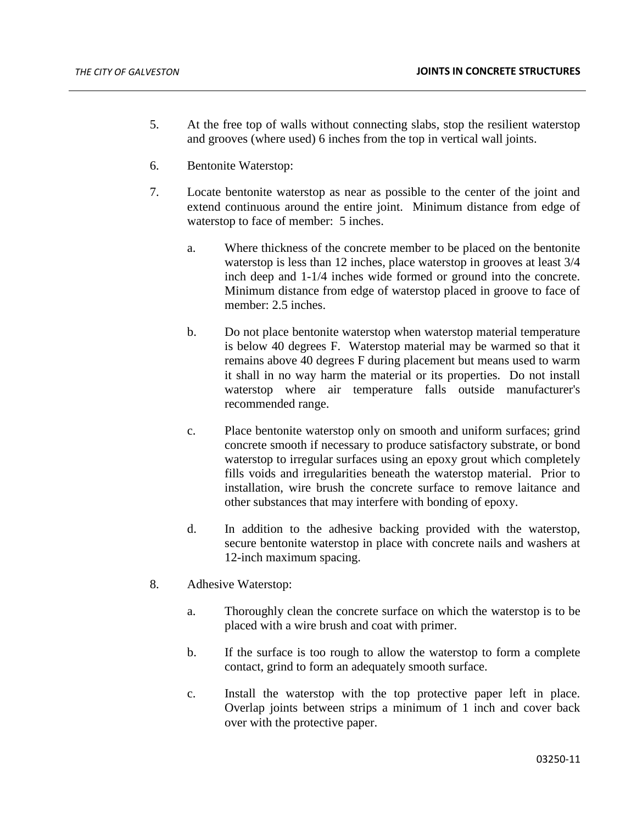- 5. At the free top of walls without connecting slabs, stop the resilient waterstop and grooves (where used) 6 inches from the top in vertical wall joints.
- 6. Bentonite Waterstop:
- 7. Locate bentonite waterstop as near as possible to the center of the joint and extend continuous around the entire joint. Minimum distance from edge of waterstop to face of member: 5 inches.
	- a. Where thickness of the concrete member to be placed on the bentonite waterstop is less than 12 inches, place waterstop in grooves at least 3/4 inch deep and 1-1/4 inches wide formed or ground into the concrete. Minimum distance from edge of waterstop placed in groove to face of member: 2.5 inches.
	- b. Do not place bentonite waterstop when waterstop material temperature is below 40 degrees F. Waterstop material may be warmed so that it remains above 40 degrees F during placement but means used to warm it shall in no way harm the material or its properties. Do not install waterstop where air temperature falls outside manufacturer's recommended range.
	- c. Place bentonite waterstop only on smooth and uniform surfaces; grind concrete smooth if necessary to produce satisfactory substrate, or bond waterstop to irregular surfaces using an epoxy grout which completely fills voids and irregularities beneath the waterstop material. Prior to installation, wire brush the concrete surface to remove laitance and other substances that may interfere with bonding of epoxy.
	- d. In addition to the adhesive backing provided with the waterstop, secure bentonite waterstop in place with concrete nails and washers at 12-inch maximum spacing.
- 8. Adhesive Waterstop:
	- a. Thoroughly clean the concrete surface on which the waterstop is to be placed with a wire brush and coat with primer.
	- b. If the surface is too rough to allow the waterstop to form a complete contact, grind to form an adequately smooth surface.
	- c. Install the waterstop with the top protective paper left in place. Overlap joints between strips a minimum of 1 inch and cover back over with the protective paper.